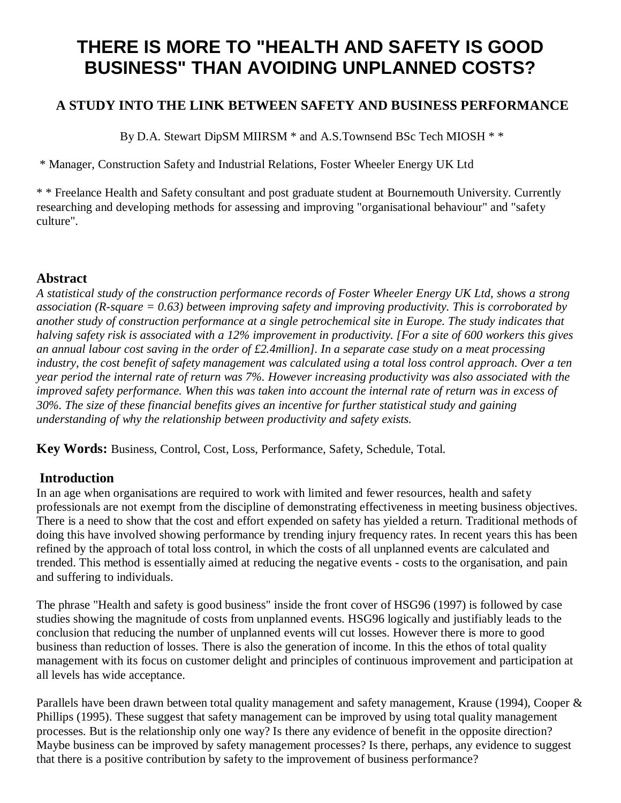# **THERE IS MORE TO "HEALTH AND SAFETY IS GOOD BUSINESS" THAN AVOIDING UNPLANNED COSTS?**

## **A STUDY INTO THE LINK BETWEEN SAFETY AND BUSINESS PERFORMANCE**

By D.A. Stewart DipSM MIIRSM \* and A.S.Townsend BSc Tech MIOSH \* \*

\* Manager, Construction Safety and Industrial Relations, Foster Wheeler Energy UK Ltd

\* \* Freelance Health and Safety consultant and post graduate student at Bournemouth University. Currently researching and developing methods for assessing and improving "organisational behaviour" and "safety culture".

## **Abstract**

*A statistical study of the construction performance records of Foster Wheeler Energy UK Ltd, shows a strong association (R-square = 0.63) between improving safety and improving productivity. This is corroborated by another study of construction performance at a single petrochemical site in Europe. The study indicates that halving safety risk is associated with a 12% improvement in productivity. [For a site of 600 workers this gives an annual labour cost saving in the order of £2.4million]. In a separate case study on a meat processing industry, the cost benefit of safety management was calculated using a total loss control approach. Over a ten year period the internal rate of return was 7%. However increasing productivity was also associated with the improved safety performance. When this was taken into account the internal rate of return was in excess of 30%. The size of these financial benefits gives an incentive for further statistical study and gaining understanding of why the relationship between productivity and safety exists.* 

**Key Words:** Business, Control, Cost, Loss, Performance, Safety, Schedule, Total.

## **Introduction**

In an age when organisations are required to work with limited and fewer resources, health and safety professionals are not exempt from the discipline of demonstrating effectiveness in meeting business objectives. There is a need to show that the cost and effort expended on safety has yielded a return. Traditional methods of doing this have involved showing performance by trending injury frequency rates. In recent years this has been refined by the approach of total loss control, in which the costs of all unplanned events are calculated and trended. This method is essentially aimed at reducing the negative events - costs to the organisation, and pain and suffering to individuals.

The phrase "Health and safety is good business" inside the front cover of HSG96 (1997) is followed by case studies showing the magnitude of costs from unplanned events. HSG96 logically and justifiably leads to the conclusion that reducing the number of unplanned events will cut losses. However there is more to good business than reduction of losses. There is also the generation of income. In this the ethos of total quality management with its focus on customer delight and principles of continuous improvement and participation at all levels has wide acceptance.

Parallels have been drawn between total quality management and safety management, Krause (1994), Cooper & Phillips (1995). These suggest that safety management can be improved by using total quality management processes. But is the relationship only one way? Is there any evidence of benefit in the opposite direction? Maybe business can be improved by safety management processes? Is there, perhaps, any evidence to suggest that there is a positive contribution by safety to the improvement of business performance?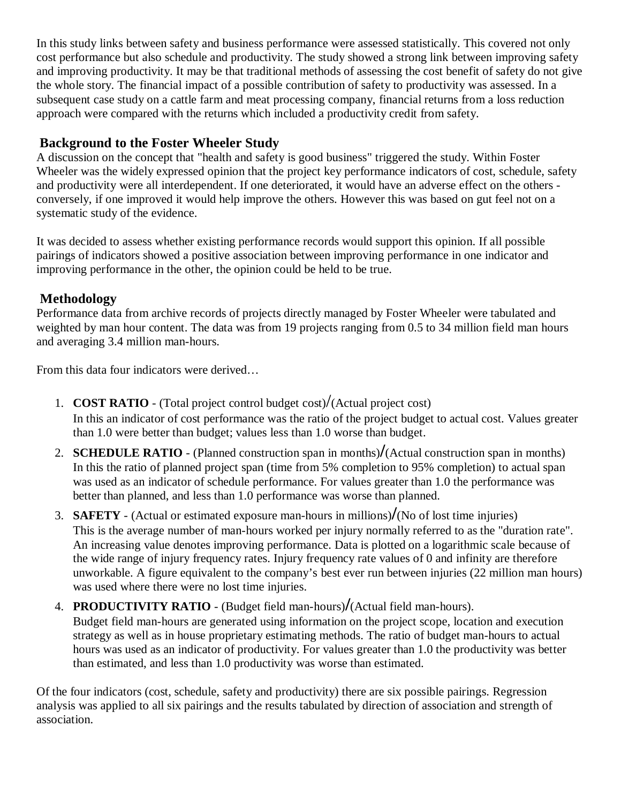In this study links between safety and business performance were assessed statistically. This covered not only cost performance but also schedule and productivity. The study showed a strong link between improving safety and improving productivity. It may be that traditional methods of assessing the cost benefit of safety do not give the whole story. The financial impact of a possible contribution of safety to productivity was assessed. In a subsequent case study on a cattle farm and meat processing company, financial returns from a loss reduction approach were compared with the returns which included a productivity credit from safety.

## **Background to the Foster Wheeler Study**

A discussion on the concept that "health and safety is good business" triggered the study. Within Foster Wheeler was the widely expressed opinion that the project key performance indicators of cost, schedule, safety and productivity were all interdependent. If one deteriorated, it would have an adverse effect on the others conversely, if one improved it would help improve the others. However this was based on gut feel not on a systematic study of the evidence.

It was decided to assess whether existing performance records would support this opinion. If all possible pairings of indicators showed a positive association between improving performance in one indicator and improving performance in the other, the opinion could be held to be true.

## **Methodology**

Performance data from archive records of projects directly managed by Foster Wheeler were tabulated and weighted by man hour content. The data was from 19 projects ranging from 0.5 to 34 million field man hours and averaging 3.4 million man-hours.

From this data four indicators were derived…

- 1. **COST RATIO** (Total project control budget cost)/(Actual project cost) In this an indicator of cost performance was the ratio of the project budget to actual cost. Values greater than 1.0 were better than budget; values less than 1.0 worse than budget.
- 2. **SCHEDULE RATIO** (Planned construction span in months)**/**(Actual construction span in months) In this the ratio of planned project span (time from 5% completion to 95% completion) to actual span was used as an indicator of schedule performance. For values greater than 1.0 the performance was better than planned, and less than 1.0 performance was worse than planned.
- 3. **SAFETY**  (Actual or estimated exposure man-hours in millions)**/**(No of lost time injuries) This is the average number of man-hours worked per injury normally referred to as the "duration rate". An increasing value denotes improving performance. Data is plotted on a logarithmic scale because of the wide range of injury frequency rates. Injury frequency rate values of 0 and infinity are therefore unworkable. A figure equivalent to the company's best ever run between injuries (22 million man hours) was used where there were no lost time injuries.
- 4. **PRODUCTIVITY RATIO** (Budget field man-hours)**/**(Actual field man-hours). Budget field man-hours are generated using information on the project scope, location and execution strategy as well as in house proprietary estimating methods. The ratio of budget man-hours to actual hours was used as an indicator of productivity. For values greater than 1.0 the productivity was better than estimated, and less than 1.0 productivity was worse than estimated.

Of the four indicators (cost, schedule, safety and productivity) there are six possible pairings. Regression analysis was applied to all six pairings and the results tabulated by direction of association and strength of association.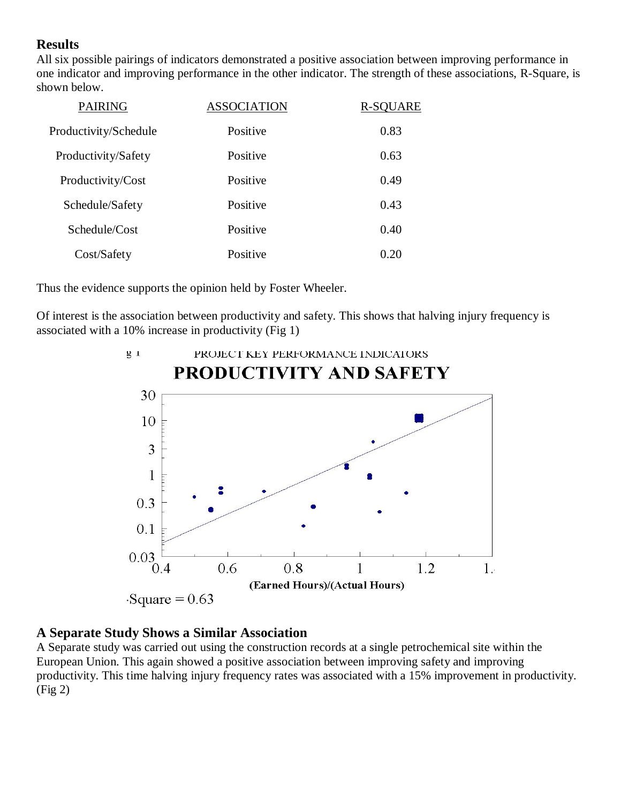## **Results**

All six possible pairings of indicators demonstrated a positive association between improving performance in one indicator and improving performance in the other indicator. The strength of these associations, R-Square, is shown below.

| <b>PAIRING</b>        | <b>ASSOCIATION</b> | <b>R-SQUARE</b> |
|-----------------------|--------------------|-----------------|
| Productivity/Schedule | Positive           | 0.83            |
| Productivity/Safety   | Positive           | 0.63            |
| Productivity/Cost     | Positive           | 0.49            |
| Schedule/Safety       | Positive           | 0.43            |
| Schedule/Cost         | Positive           | 0.40            |
| Cost/Safety           | Positive           | 0.20            |
|                       |                    |                 |

Thus the evidence supports the opinion held by Foster Wheeler.

Of interest is the association between productivity and safety. This shows that halving injury frequency is associated with a 10% increase in productivity (Fig 1)



#### **A Separate Study Shows a Similar Association**

A Separate study was carried out using the construction records at a single petrochemical site within the European Union. This again showed a positive association between improving safety and improving productivity. This time halving injury frequency rates was associated with a 15% improvement in productivity. (Fig 2)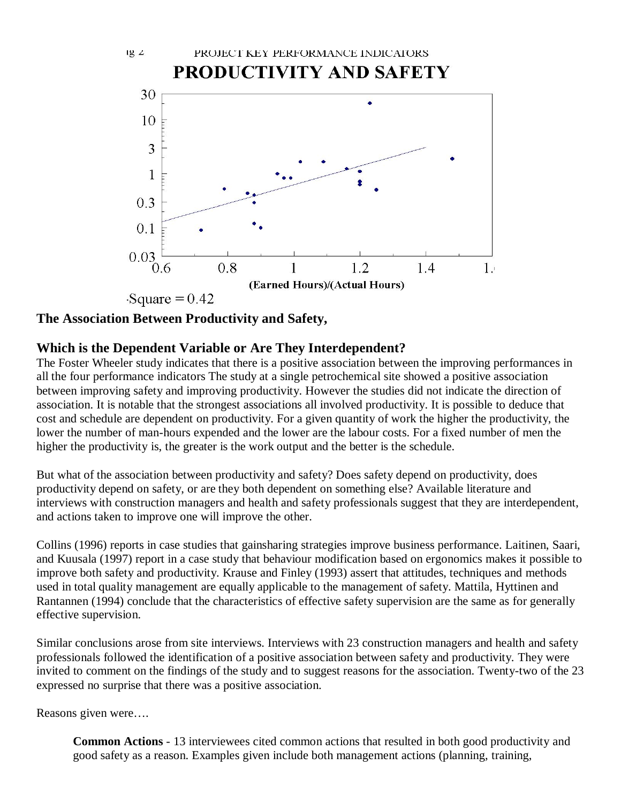

### **The Association Between Productivity and Safety,**

 $12L$ 

#### **Which is the Dependent Variable or Are They Interdependent?**

The Foster Wheeler study indicates that there is a positive association between the improving performances in all the four performance indicators The study at a single petrochemical site showed a positive association between improving safety and improving productivity. However the studies did not indicate the direction of association. It is notable that the strongest associations all involved productivity. It is possible to deduce that cost and schedule are dependent on productivity. For a given quantity of work the higher the productivity, the lower the number of man-hours expended and the lower are the labour costs. For a fixed number of men the higher the productivity is, the greater is the work output and the better is the schedule.

But what of the association between productivity and safety? Does safety depend on productivity, does productivity depend on safety, or are they both dependent on something else? Available literature and interviews with construction managers and health and safety professionals suggest that they are interdependent, and actions taken to improve one will improve the other.

Collins (1996) reports in case studies that gainsharing strategies improve business performance. Laitinen, Saari, and Kuusala (1997) report in a case study that behaviour modification based on ergonomics makes it possible to improve both safety and productivity. Krause and Finley (1993) assert that attitudes, techniques and methods used in total quality management are equally applicable to the management of safety. Mattila, Hyttinen and Rantannen (1994) conclude that the characteristics of effective safety supervision are the same as for generally effective supervision.

Similar conclusions arose from site interviews. Interviews with 23 construction managers and health and safety professionals followed the identification of a positive association between safety and productivity. They were invited to comment on the findings of the study and to suggest reasons for the association. Twenty-two of the 23 expressed no surprise that there was a positive association.

Reasons given were….

**Common Actions** - 13 interviewees cited common actions that resulted in both good productivity and good safety as a reason. Examples given include both management actions (planning, training,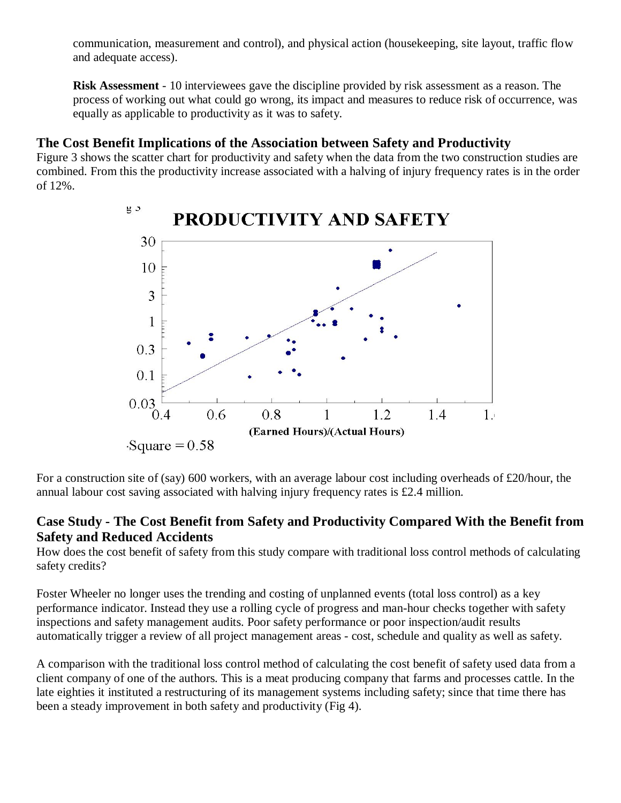communication, measurement and control), and physical action (housekeeping, site layout, traffic flow and adequate access).

**Risk Assessment** - 10 interviewees gave the discipline provided by risk assessment as a reason. The process of working out what could go wrong, its impact and measures to reduce risk of occurrence, was equally as applicable to productivity as it was to safety.

## **The Cost Benefit Implications of the Association between Safety and Productivity**

Figure 3 shows the scatter chart for productivity and safety when the data from the two construction studies are combined. From this the productivity increase associated with a halving of injury frequency rates is in the order of 12%.



For a construction site of (say) 600 workers, with an average labour cost including overheads of £20/hour, the annual labour cost saving associated with halving injury frequency rates is £2.4 million.

## **Case Study - The Cost Benefit from Safety and Productivity Compared With the Benefit from Safety and Reduced Accidents**

How does the cost benefit of safety from this study compare with traditional loss control methods of calculating safety credits?

Foster Wheeler no longer uses the trending and costing of unplanned events (total loss control) as a key performance indicator. Instead they use a rolling cycle of progress and man-hour checks together with safety inspections and safety management audits. Poor safety performance or poor inspection/audit results automatically trigger a review of all project management areas - cost, schedule and quality as well as safety.

A comparison with the traditional loss control method of calculating the cost benefit of safety used data from a client company of one of the authors. This is a meat producing company that farms and processes cattle. In the late eighties it instituted a restructuring of its management systems including safety; since that time there has been a steady improvement in both safety and productivity (Fig 4).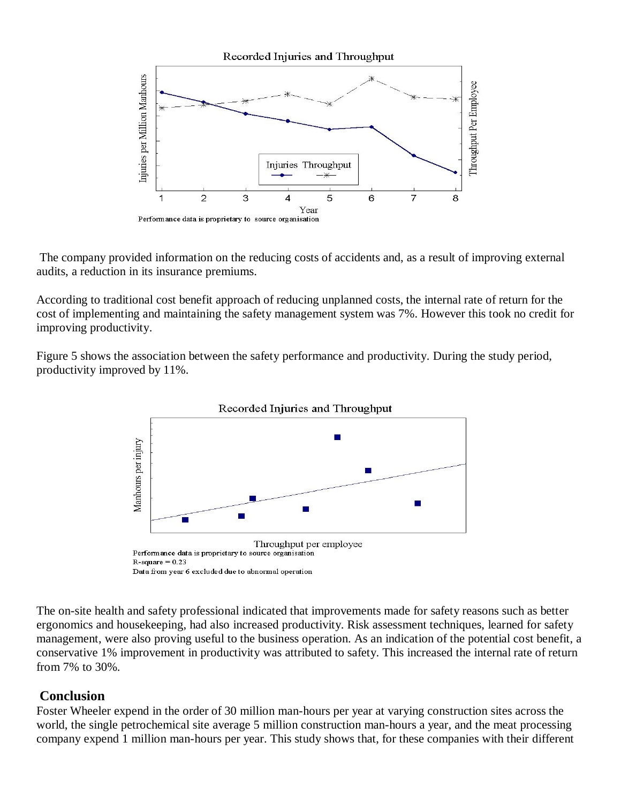

The company provided information on the reducing costs of accidents and, as a result of improving external audits, a reduction in its insurance premiums.

According to traditional cost benefit approach of reducing unplanned costs, the internal rate of return for the cost of implementing and maintaining the safety management system was 7%. However this took no credit for improving productivity.

Figure 5 shows the association between the safety performance and productivity. During the study period, productivity improved by 11%.



The on-site health and safety professional indicated that improvements made for safety reasons such as better ergonomics and housekeeping, had also increased productivity. Risk assessment techniques, learned for safety management, were also proving useful to the business operation. As an indication of the potential cost benefit, a conservative 1% improvement in productivity was attributed to safety. This increased the internal rate of return from 7% to 30%.

#### **Conclusion**

Foster Wheeler expend in the order of 30 million man-hours per year at varying construction sites across the world, the single petrochemical site average 5 million construction man-hours a year, and the meat processing company expend 1 million man-hours per year. This study shows that, for these companies with their different